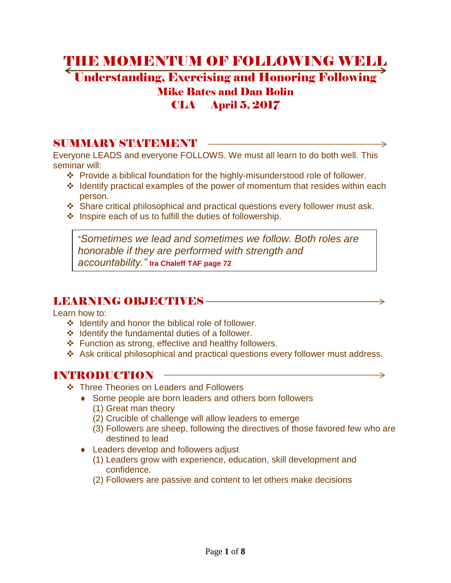# THE MOMENTUM OF FOLLOWING WELL Understanding, Exercising and Honoring Following Mike Bates and Dan Bolin

## CLA April 5, 2017

### SUMMARY STATEMENT **WE**

Everyone LEADS and everyone FOLLOWS. We must all learn to do both well. This seminar will:

- Provide a biblical foundation for the highly-misunderstood role of follower.
- $\cdot$  Identify practical examples of the power of momentum that resides within each person.
- Share critical philosophical and practical questions every follower must ask.
- $\cdot$  Inspire each of us to fulfill the duties of followership.

"*Sometimes we lead and sometimes we follow. Both roles are honorable if they are performed with strength and accountability."* **Ira Chaleff TAF page 72** 

## LEARNING OBJECTIVES

Learn how to:

- $\div$  Identify and honor the biblical role of follower.
- $\div$  Identify the fundamental duties of a follower.
- ❖ Function as strong, effective and healthy followers.
- Ask critical philosophical and practical questions every follower must address.

## INTRODUCTION

- **❖** Three Theories on Leaders and Followers
	- ◆ Some people are born leaders and others born followers (1) Great man theory
		- (2) Crucible of challenge will allow leaders to emerge
		- (3) Followers are sheep, following the directives of those favored few who are destined to lead
	- ◆ Leaders develop and followers adjust
		- (1) Leaders grow with experience, education, skill development and confidence.
		- (2) Followers are passive and content to let others make decisions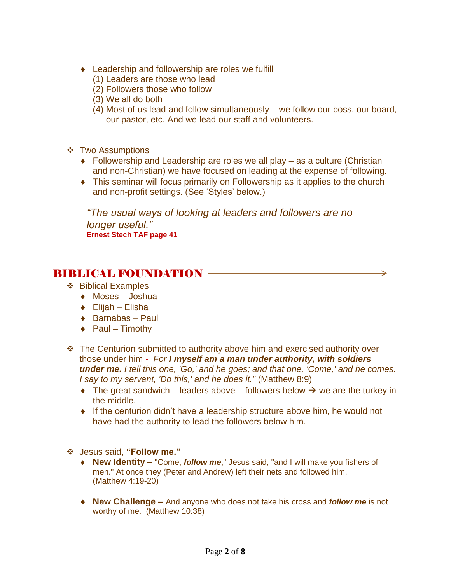- ◆ Leadership and followership are roles we fulfill
	- (1) Leaders are those who lead
	- (2) Followers those who follow
	- (3) We all do both
	- (4) Most of us lead and follow simultaneously we follow our boss, our board, our pastor, etc. And we lead our staff and volunteers.
- **❖** Two Assumptions
	- ◆ Followership and Leadership are roles we all play as a culture (Christian and non-Christian) we have focused on leading at the expense of following.
	- This seminar will focus primarily on Followership as it applies to the church and non-profit settings. (See 'Styles' below.)

*"The usual ways of looking at leaders and followers are no longer useful."* **Ernest Stech TAF page 41** 

### BIBLICAL FOUNDATION

- ❖ Biblical Examples
	- ◆ Moses Joshua
	- Elijah Elisha
	- $\triangleleft$  Barnabas Paul
	- $\rightarrow$  Paul Timothy
- The Centurion submitted to authority above him and exercised authority over those under him - *For I myself am a man under authority, with soldiers under me. I tell this one, 'Go,' and he goes; and that one, 'Come,' and he comes. I say to my servant, 'Do this,' and he does it."* (Matthew 8:9)
	- $\rightarrow$  The great sandwich leaders above followers below  $\rightarrow$  we are the turkey in the middle.
	- If the centurion didn't have a leadership structure above him, he would not have had the authority to lead the followers below him.
- Jesus said, **"Follow me."**
	- **New Identity –** "Come, *follow me*," Jesus said, "and I will make you fishers of men." At once they (Peter and Andrew) left their nets and followed him. (Matthew 4:19-20)
	- **New Challenge –** And anyone who does not take his cross and *follow me* is not worthy of me. (Matthew 10:38)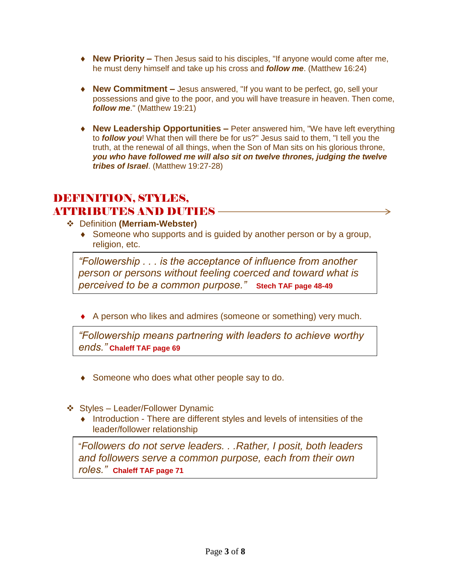- ◆ **New Priority** Then Jesus said to his disciples, "If anyone would come after me, he must deny himself and take up his cross and *follow me*. (Matthew 16:24)
- **New Commitment –** Jesus answered, "If you want to be perfect, go, sell your possessions and give to the poor, and you will have treasure in heaven. Then come, *follow me*." (Matthew 19:21)
- **New Leadership Opportunities –** Peter answered him, "We have left everything to *follow you*! What then will there be for us?" Jesus said to them, "I tell you the truth, at the renewal of all things, when the Son of Man sits on his glorious throne, *you who have followed me will also sit on twelve thrones, judging the twelve tribes of Israel*. (Matthew 19:27-28)

### DEFINITION, STYLES, ATTRIBUTES AND DUTIES –

- Definition **(Merriam-Webster)**
	- Someone who supports and is guided by another person or by a group, religion, etc.

*"Followership . . . is the acceptance of influence from another person or persons without feeling coerced and toward what is perceived to be a common purpose."* **Stech TAF page 48-49**

A person who likes and admires (someone or something) very much.

*"Followership means partnering with leaders to achieve worthy ends."* **Chaleff TAF page 69**

- ◆ Someone who does what other people say to do.
- Styles Leader/Follower Dynamic
	- Introduction There are different styles and levels of intensities of the leader/follower relationship

"*Followers do not serve leaders. . .Rather, I posit, both leaders and followers serve a common purpose, each from their own roles."* **Chaleff TAF page 71**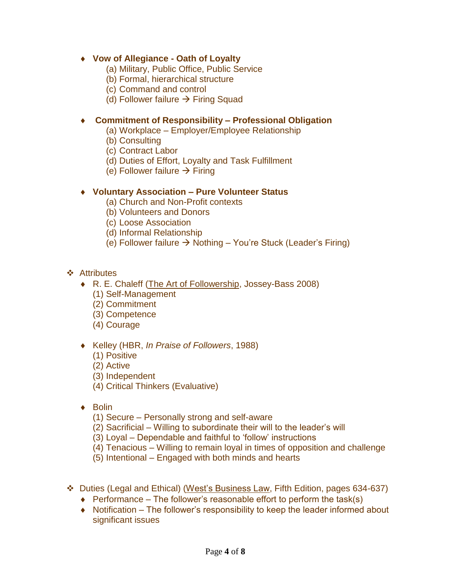#### **Vow of Allegiance - Oath of Loyalty**

- (a) Military, Public Office, Public Service
- (b) Formal, hierarchical structure
- (c) Command and control
- (d) Follower failure  $\rightarrow$  Firing Squad

#### **Commitment of Responsibility – Professional Obligation**

- (a) Workplace Employer/Employee Relationship
- (b) Consulting
- (c) Contract Labor
- (d) Duties of Effort, Loyalty and Task Fulfillment
- (e) Follower failure  $\rightarrow$  Firing

#### **Voluntary Association – Pure Volunteer Status**

- (a) Church and Non-Profit contexts
- (b) Volunteers and Donors
- (c) Loose Association
- (d) Informal Relationship
- (e) Follower failure  $\rightarrow$  Nothing You're Stuck (Leader's Firing)

#### Attributes

- R. E. Chaleff (The Art of Followership, Jossey-Bass 2008)
	- (1) Self-Management
	- (2) Commitment
	- (3) Competence
	- (4) Courage
- Kelley (HBR, *In Praise of Followers*, 1988)
	- (1) Positive
	- (2) Active
	- (3) Independent
	- (4) Critical Thinkers (Evaluative)
- $\triangle$  Bolin
	- (1) Secure Personally strong and self-aware
	- (2) Sacrificial Willing to subordinate their will to the leader's will
	- (3) Loyal Dependable and faithful to 'follow' instructions
	- (4) Tenacious Willing to remain loyal in times of opposition and challenge
	- (5) Intentional Engaged with both minds and hearts
- Duties (Legal and Ethical) (West's Business Law, Fifth Edition, pages 634-637)
	- $\triangle$  Performance The follower's reasonable effort to perform the task(s)
	- Notification The follower's responsibility to keep the leader informed about significant issues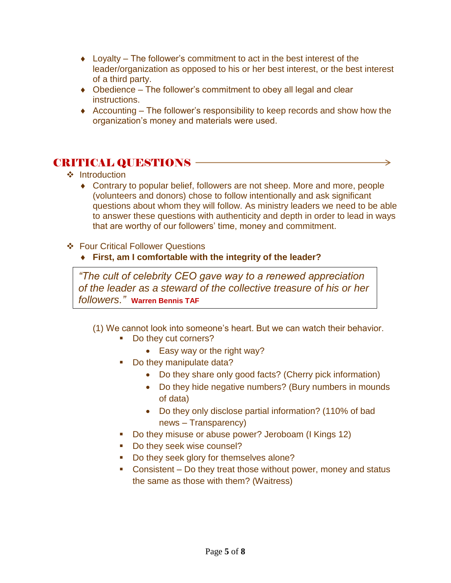- $\bullet$  Loyalty The follower's commitment to act in the best interest of the leader/organization as opposed to his or her best interest, or the best interest of a third party.
- Obedience The follower's commitment to obey all legal and clear instructions.
- $\triangle$  Accounting The follower's responsibility to keep records and show how the organization's money and materials were used.

## CRITICAL QUESTIONS

- ❖ Introduction
	- Contrary to popular belief, followers are not sheep. More and more, people (volunteers and donors) chose to follow intentionally and ask significant questions about whom they will follow. As ministry leaders we need to be able to answer these questions with authenticity and depth in order to lead in ways that are worthy of our followers' time, money and commitment.

→

#### Four Critical Follower Questions

**First, am I comfortable with the integrity of the leader?**

*"The cult of celebrity CEO gave way to a renewed appreciation of the leader as a steward of the collective treasure of his or her followers."* **Warren Bennis TAF**

- (1) We cannot look into someone's heart. But we can watch their behavior.
	- Do they cut corners?
		- Easy way or the right way?
	- Do they manipulate data?
		- Do they share only good facts? (Cherry pick information)
		- Do they hide negative numbers? (Bury numbers in mounds of data)
		- Do they only disclose partial information? (110% of bad news – Transparency)
	- Do they misuse or abuse power? Jeroboam (I Kings 12)
	- Do they seek wise counsel?
	- Do they seek glory for themselves alone?
	- Consistent Do they treat those without power, money and status the same as those with them? (Waitress)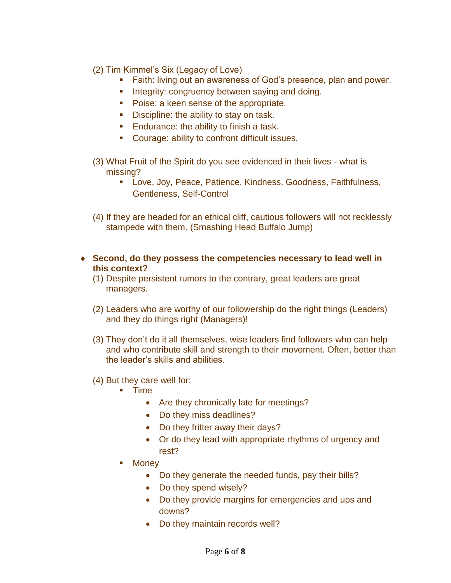- (2) Tim Kimmel's Six (Legacy of Love)
	- Faith: living out an awareness of God's presence, plan and power.
	- **Integrity: congruency between saying and doing.**
	- **Poise: a keen sense of the appropriate.**
	- Discipline: the ability to stay on task.
	- **Endurance: the ability to finish a task.**
	- Courage: ability to confront difficult issues.
- (3) What Fruit of the Spirit do you see evidenced in their lives what is missing?
	- Love, Joy, Peace, Patience, Kindness, Goodness, Faithfulness, Gentleness, Self-Control
- (4) If they are headed for an ethical cliff, cautious followers will not recklessly stampede with them. (Smashing Head Buffalo Jump)
- **Second, do they possess the competencies necessary to lead well in this context?**
	- (1) Despite persistent rumors to the contrary, great leaders are great managers.
	- (2) Leaders who are worthy of our followership do the right things (Leaders) and they do things right (Managers)!
	- (3) They don't do it all themselves, wise leaders find followers who can help and who contribute skill and strength to their movement. Often, better than the leader's skills and abilities.
	- (4) But they care well for:
		- **Time** 
			- Are they chronically late for meetings?
			- Do they miss deadlines?
			- Do they fritter away their days?
			- Or do they lead with appropriate rhythms of urgency and rest?
		- **Money** 
			- Do they generate the needed funds, pay their bills?
			- Do they spend wisely?
			- Do they provide margins for emergencies and ups and downs?
			- Do they maintain records well?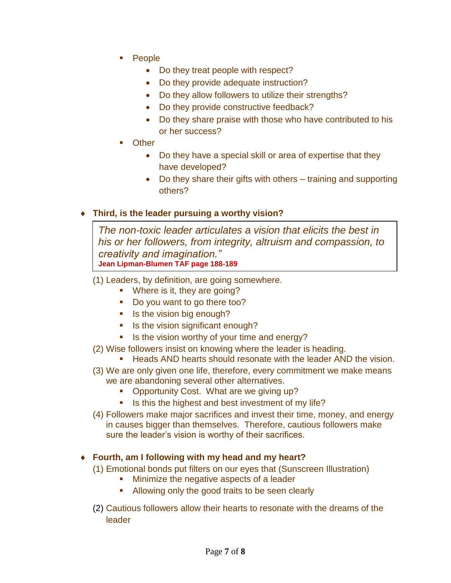- People
	- Do they treat people with respect?
	- Do they provide adequate instruction?
	- Do they allow followers to utilize their strengths?
	- Do they provide constructive feedback?
	- Do they share praise with those who have contributed to his or her success?
- **Other** 
	- Do they have a special skill or area of expertise that they have developed?
	- Do they share their gifts with others training and supporting others?

#### **Third, is the leader pursuing a worthy vision?**

*The non-toxic leader articulates a vision that elicits the best in his or her followers, from integrity, altruism and compassion, to creativity and imagination."* **Jean Lipman-Blumen TAF page 188-189** 

- (1) Leaders, by definition, are going somewhere.
	- **Where is it, they are going?**
	- Do you want to go there too?
	- Is the vision big enough?
	- Is the vision significant enough?
	- Is the vision worthy of your time and energy?
- (2) Wise followers insist on knowing where the leader is heading.
	- **Heads AND hearts should resonate with the leader AND the vision.**
- (3) We are only given one life, therefore, every commitment we make means we are abandoning several other alternatives.
	- **Opportunity Cost. What are we giving up?**
	- Is this the highest and best investment of my life?
- (4) Followers make major sacrifices and invest their time, money, and energy in causes bigger than themselves. Therefore, cautious followers make sure the leader's vision is worthy of their sacrifices.

#### **Fourth, am I following with my head and my heart?**

- (1) Emotional bonds put filters on our eyes that (Sunscreen Illustration)
	- **Minimize the negative aspects of a leader**
	- Allowing only the good traits to be seen clearly
- (2) Cautious followers allow their hearts to resonate with the dreams of the leader